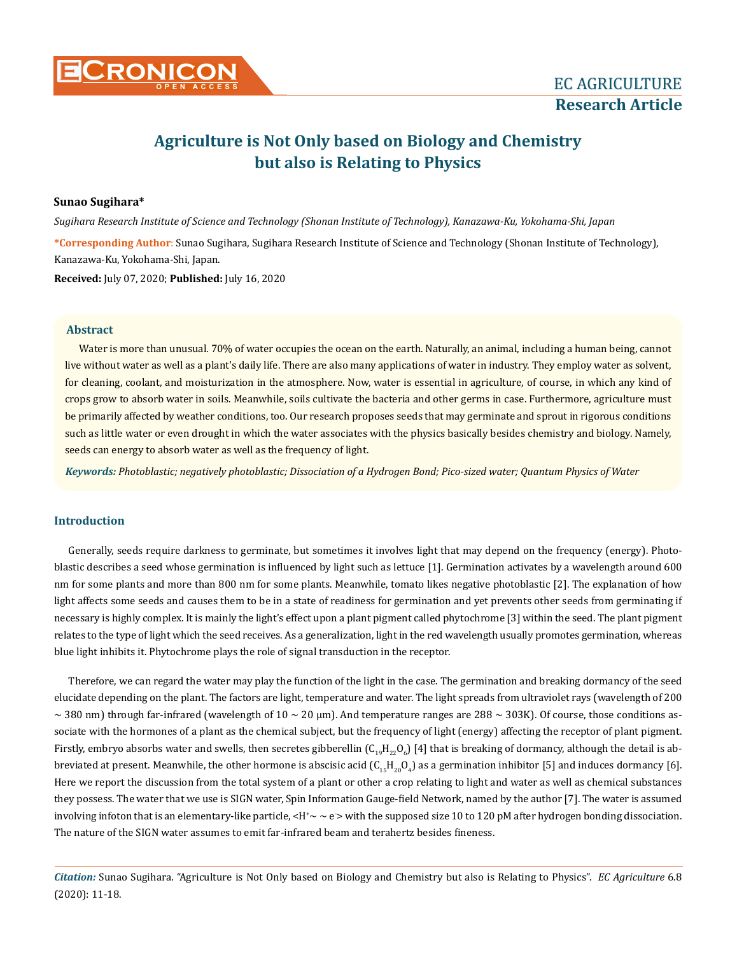# **Agriculture is Not Only based on Biology and Chemistry but also is Relating to Physics**

### **Sunao Sugihara\***

*Sugihara Research Institute of Science and Technology (Shonan Institute of Technology), Kanazawa-Ku, Yokohama-Shi, Japan*

**\*Corresponding Author**: Sunao Sugihara, Sugihara Research Institute of Science and Technology (Shonan Institute of Technology), Kanazawa-Ku, Yokohama-Shi, Japan.

**Received:** July 07, 2020; **Published:** July 16, 2020

### **Abstract**

Water is more than unusual. 70% of water occupies the ocean on the earth. Naturally, an animal, including a human being, cannot live without water as well as a plant's daily life. There are also many applications of water in industry. They employ water as solvent, for cleaning, coolant, and moisturization in the atmosphere. Now, water is essential in agriculture, of course, in which any kind of crops grow to absorb water in soils. Meanwhile, soils cultivate the bacteria and other germs in case. Furthermore, agriculture must be primarily affected by weather conditions, too. Our research proposes seeds that may germinate and sprout in rigorous conditions such as little water or even drought in which the water associates with the physics basically besides chemistry and biology. Namely, seeds can energy to absorb water as well as the frequency of light.

*Keywords: Photoblastic; negatively photoblastic; Dissociation of a Hydrogen Bond; Pico-sized water; Quantum Physics of Water*

### **Introduction**

Generally, seeds require darkness to germinate, but sometimes it involves light that may depend on the frequency (energy). Photoblastic describes a seed whose germination is influenced by light such as lettuce [1]. Germination activates by a wavelength around 600 nm for some plants and more than 800 nm for some plants. Meanwhile, tomato likes negative photoblastic [2]. The explanation of how light affects some seeds and causes them to be in a state of readiness for germination and yet prevents other seeds from germinating if necessary is highly complex. It is mainly the light's effect upon a plant pigment called phytochrome [3] within the seed. The plant pigment relates to the type of light which the seed receives. As a generalization, light in the red wavelength usually promotes germination, whereas blue light inhibits it. Phytochrome plays the role of signal transduction in the receptor.

Therefore, we can regard the water may play the function of the light in the case. The germination and breaking dormancy of the seed elucidate depending on the plant. The factors are light, temperature and water. The light spreads from ultraviolet rays (wavelength of 200  $\sim$  380 nm) through far-infrared (wavelength of 10  $\sim$  20 µm). And temperature ranges are 288  $\sim$  303K). Of course, those conditions associate with the hormones of a plant as the chemical subject, but the frequency of light (energy) affecting the receptor of plant pigment. Firstly, embryo absorbs water and swells, then secretes gibberellin (C<sub>19</sub>H<sub>22</sub>O<sub>6</sub>) [4] that is breaking of dormancy, although the detail is abbreviated at present. Meanwhile, the other hormone is abscisic acid  $(\mathsf{C}_{15}\mathsf{H}_{20}\mathsf{O}_4)$  as a germination inhibitor [5] and induces dormancy [6]. Here we report the discussion from the total system of a plant or other a crop relating to light and water as well as chemical substances they possess. The water that we use is SIGN water, Spin Information Gauge-field Network, named by the author [7]. The water is assumed involving infoton that is an elementary-like particle, <H\* $\sim$   $\approx$   $\approx$  with the supposed size 10 to 120 pM after hydrogen bonding dissociation. The nature of the SIGN water assumes to emit far-infrared beam and terahertz besides fineness.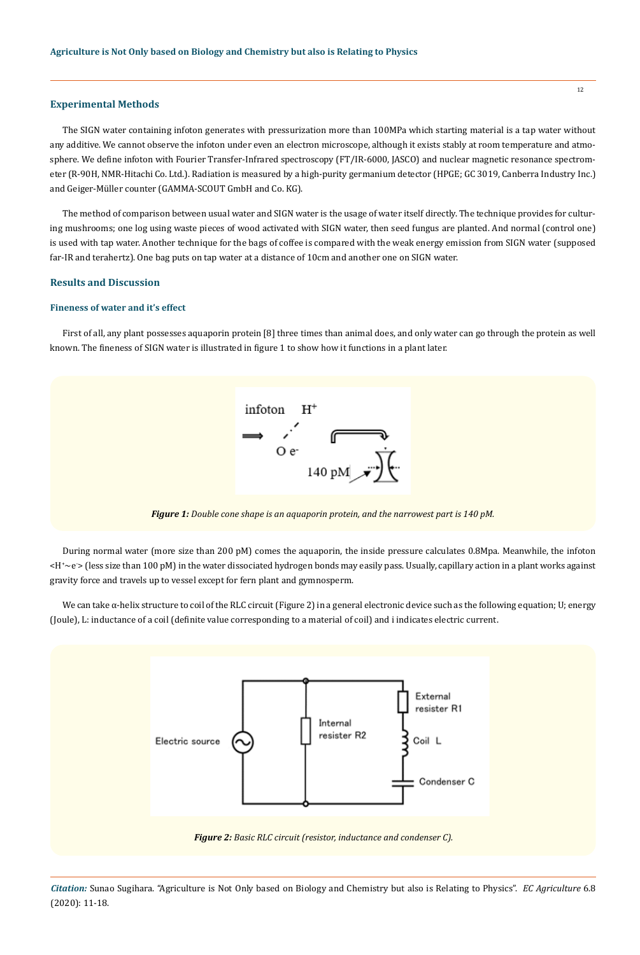## **Experimental Methods**

The SIGN water containing infoton generates with pressurization more than 100MPa which starting material is a tap water without any additive. We cannot observe the infoton under even an electron microscope, although it exists stably at room temperature and atmosphere. We define infoton with Fourier Transfer-Infrared spectroscopy (FT/IR-6000, JASCO) and nuclear magnetic resonance spectrometer (R-90H, NMR-Hitachi Co. Ltd.). Radiation is measured by a high-purity germanium detector (HPGE; GC 3019, Canberra Industry Inc.) and Geiger-Müller counter (GAMMA-SCOUT GmbH and Co. KG).

The method of comparison between usual water and SIGN water is the usage of water itself directly. The technique provides for culturing mushrooms; one log using waste pieces of wood activated with SIGN water, then seed fungus are planted. And normal (control one) is used with tap water. Another technique for the bags of coffee is compared with the weak energy emission from SIGN water (supposed far-IR and terahertz). One bag puts on tap water at a distance of 10cm and another one on SIGN water.

### **Results and Discussion**

### **Fineness of water and it's effect**

First of all, any plant possesses aquaporin protein [8] three times than animal does, and only water can go through the protein as well known. The fineness of SIGN water is illustrated in figure 1 to show how it functions in a plant later.



*Figure 1: Double cone shape is an aquaporin protein, and the narrowest part is 140 pM.*

During normal water (more size than 200 pM) comes the aquaporin, the inside pressure calculates 0.8Mpa. Meanwhile, the infoton <H+ ~e- > (less size than 100 pM) in the water dissociated hydrogen bonds may easily pass. Usually, capillary action in a plant works against gravity force and travels up to vessel except for fern plant and gymnosperm.

We can take α-helix structure to coil of the RLC circuit (Figure 2) in a general electronic device such as the following equation; U; energy (Joule), L: inductance of a coil (definite value corresponding to a material of coil) and i indicates electric current.

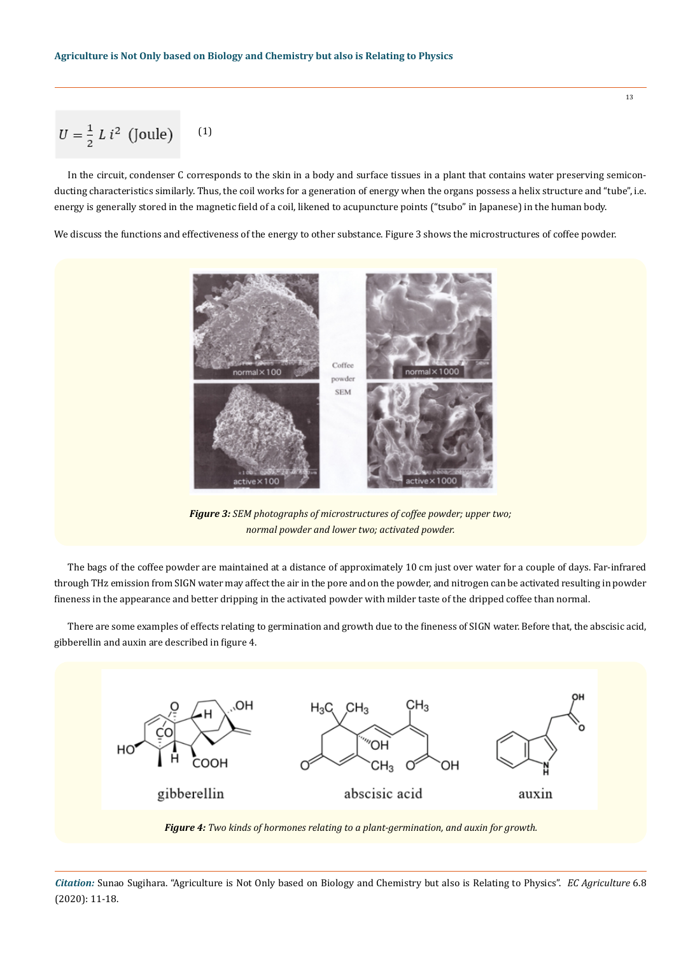$$
U = \frac{1}{2} L i^2 \text{ (Joule)} \quad (1)
$$

In the circuit, condenser C corresponds to the skin in a body and surface tissues in a plant that contains water preserving semiconducting characteristics similarly. Thus, the coil works for a generation of energy when the organs possess a helix structure and "tube", i.e. energy is generally stored in the magnetic field of a coil, likened to acupuncture points ("tsubo" in Japanese) in the human body.

We discuss the functions and effectiveness of the energy to other substance. Figure 3 shows the microstructures of coffee powder.



*Figure 3: SEM photographs of microstructures of coffee powder; upper two; normal powder and lower two; activated powder.* 

The bags of the coffee powder are maintained at a distance of approximately 10 cm just over water for a couple of days. Far-infrared through THz emission from SIGN water may affect the air in the pore and on the powder, and nitrogen can be activated resulting in powder fineness in the appearance and better dripping in the activated powder with milder taste of the dripped coffee than normal.

There are some examples of effects relating to germination and growth due to the fineness of SIGN water. Before that, the abscisic acid, gibberellin and auxin are described in figure 4.



*Figure 4: Two kinds of hormones relating to a plant-germination, and auxin for growth.*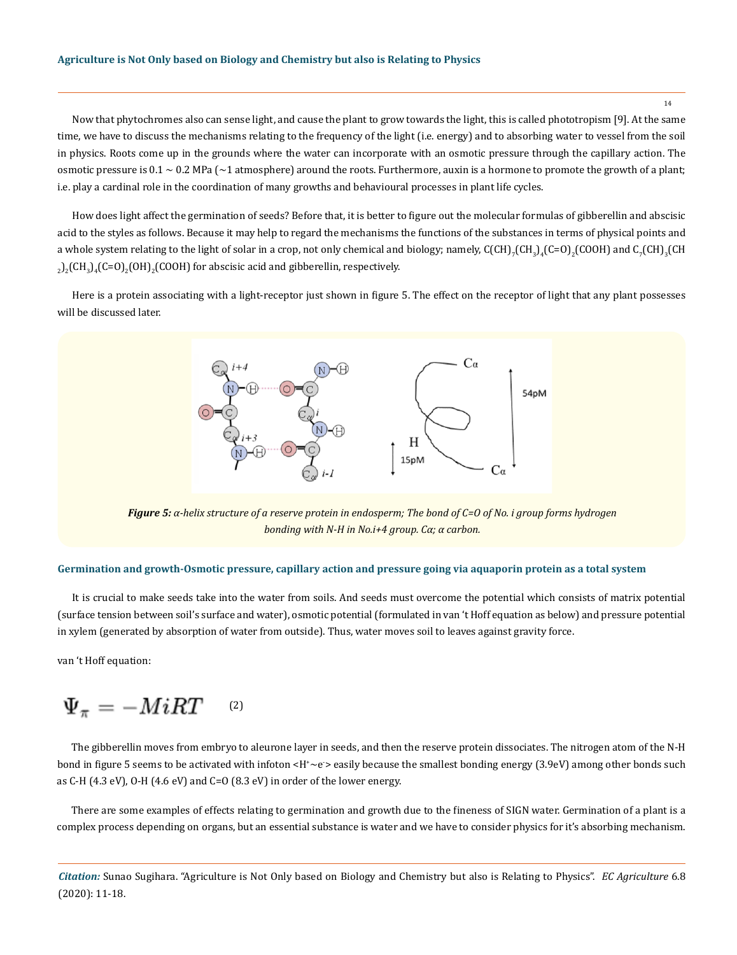14

Now that phytochromes also can sense light, and cause the plant to grow towards the light, this is called phototropism [9]. At the same time, we have to discuss the mechanisms relating to the frequency of the light (i.e. energy) and to absorbing water to vessel from the soil in physics. Roots come up in the grounds where the water can incorporate with an osmotic pressure through the capillary action. The osmotic pressure is  $0.1 \sim 0.2$  MPa ( $\sim$ 1 atmosphere) around the roots. Furthermore, auxin is a hormone to promote the growth of a plant; i.e. play a cardinal role in the coordination of many growths and behavioural processes in plant life cycles.

How does light affect the germination of seeds? Before that, it is better to figure out the molecular formulas of gibberellin and abscisic acid to the styles as follows. Because it may help to regard the mechanisms the functions of the substances in terms of physical points and a whole system relating to the light of solar in a crop, not only chemical and biology; namely,  $C(CH)_7CH_3)_4(C=0)_2(COOH)$  and  $C_7(CH_3_3(CH)_{\bar 3}(CH_3)_{\bar 3}(COH)$  and  $C_7(CH_3_3(CH)_{\bar 3}(CH_3)_{\bar 3}(COH)$  $_2$ )<sub>2</sub>(CH<sub>3</sub>)<sub>4</sub>(C=O)<sub>2</sub>(OH)<sub>2</sub>(COOH) for abscisic acid and gibberellin, respectively.

Here is a protein associating with a light-receptor just shown in figure 5. The effect on the receptor of light that any plant possesses will be discussed later.



*Figure 5: α-helix structure of a reserve protein in endosperm; The bond of C=O of No. i group forms hydrogen bonding with N-H in No.i+4 group. Cα; α carbon.*

### **Germination and growth-Osmotic pressure, capillary action and pressure going via aquaporin protein as a total system**

It is crucial to make seeds take into the water from soils. And seeds must overcome the potential which consists of matrix potential (surface tension between soil's surface and water), osmotic potential (formulated in van 't Hoff equation as below) and pressure potential in xylem (generated by absorption of water from outside). Thus, water moves soil to leaves against gravity force.

van 't Hoff equation:

$$
\Psi_\pi=-MiRT\quad \ \ \, {\rm (2)}
$$

The gibberellin moves from embryo to aleurone layer in seeds, and then the reserve protein dissociates. The nitrogen atom of the N-H bond in figure 5 seems to be activated with infoton <H\*~e`> easily because the smallest bonding energy (3.9eV) among other bonds such as C-H (4.3 eV), O-H (4.6 eV) and C=O (8.3 eV) in order of the lower energy.

There are some examples of effects relating to germination and growth due to the fineness of SIGN water. Germination of a plant is a complex process depending on organs, but an essential substance is water and we have to consider physics for it's absorbing mechanism.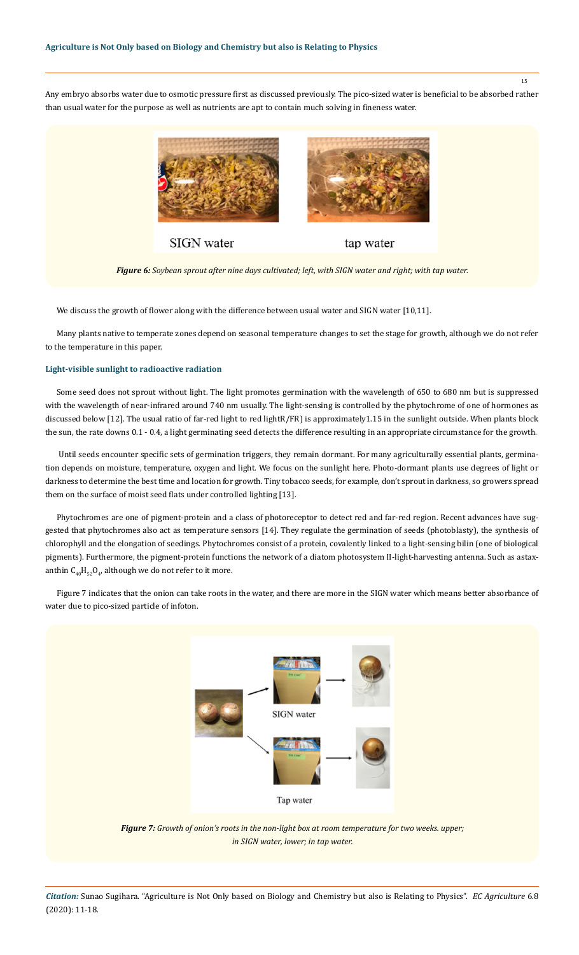Any embryo absorbs water due to osmotic pressure first as discussed previously. The pico-sized water is beneficial to be absorbed rather than usual water for the purpose as well as nutrients are apt to contain much solving in fineness water.



*Figure 6: Soybean sprout after nine days cultivated; left, with SIGN water and right; with tap water.*

We discuss the growth of flower along with the difference between usual water and SIGN water [10,11].

Many plants native to temperate zones depend on seasonal temperature changes to set the stage for growth, although we do not refer to the temperature in this paper.

# **Light-visible sunlight to radioactive radiation**

Some seed does not sprout without light. The light promotes germination with the wavelength of 650 to 680 nm but is suppressed with the wavelength of near-infrared around 740 nm usually. The light-sensing is controlled by the phytochrome of one of hormones as discussed below [12]. The usual ratio of far-red light to red lightR/FR) is approximately1.15 in the sunlight outside. When plants block the sun, the rate downs 0.1 - 0.4, a light germinating seed detects the difference resulting in an appropriate circumstance for the growth.

 Until seeds encounter specific sets of germination triggers, they remain dormant. For many agriculturally essential plants, germination depends on moisture, temperature, oxygen and light. We focus on the sunlight here. Photo-dormant plants use degrees of light or darkness to determine the best time and location for growth. Tiny tobacco seeds, for example, don't sprout in darkness, so growers spread them on the surface of moist seed flats under controlled lighting [13].

Phytochromes are one of pigment-protein and a class of photoreceptor to detect red and far-red region. Recent advances have suggested that phytochromes also act as temperature sensors [14]. They regulate the germination of seeds (photoblasty), the synthesis of chlorophyll and the elongation of seedings. Phytochromes consist of a protein, covalently linked to a light-sensing bilin (one of biological pigments). Furthermore, the pigment-protein functions the network of a diatom photosystem II-light-harvesting antenna. Such as astaxanthin  $C_{40}H_{52}O_{4}$ , although we do not refer to it more.

Figure 7 indicates that the onion can take roots in the water, and there are more in the SIGN water which means better absorbance of water due to pico-sized particle of infoton.



*Figure 7: Growth of onion's roots in the non-light box at room temperature for two weeks. upper; in SIGN water, lower; in tap water.*

*Citation:* Sunao Sugihara. "Agriculture is Not Only based on Biology and Chemistry but also is Relating to Physics". *EC Agriculture* 6.8 (2020): 11-18.

15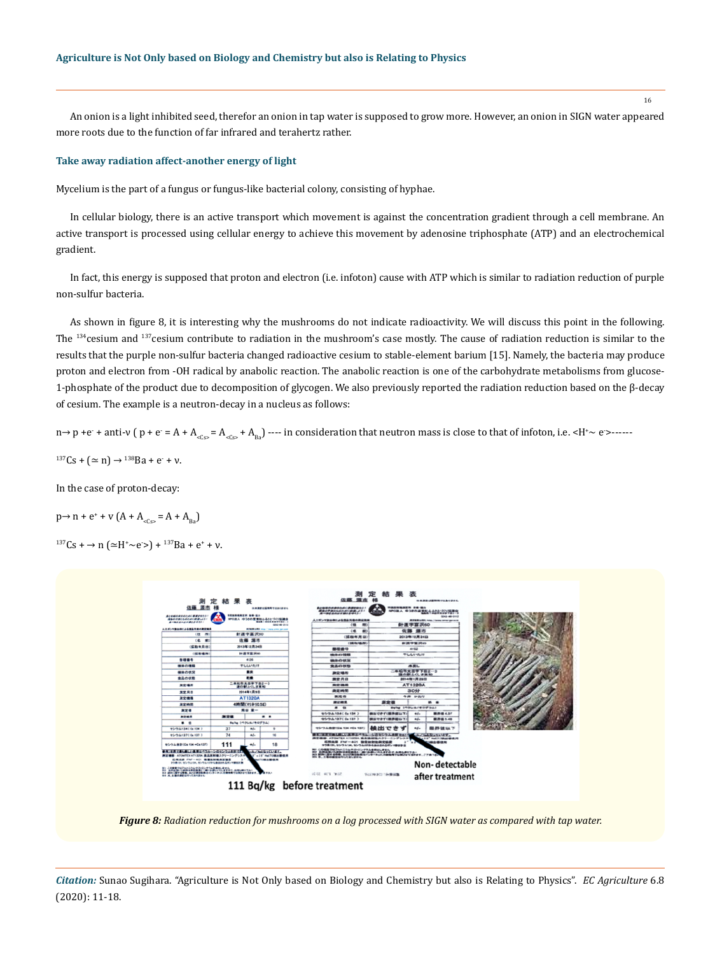An onion is a light inhibited seed, therefor an onion in tap water is supposed to grow more. However, an onion in SIGN water appeared more roots due to the function of far infrared and terahertz rather.

#### **Take away radiation affect-another energy of light**

Mycelium is the part of a fungus or fungus-like bacterial colony, consisting of hyphae.

In cellular biology, there is an active transport which movement is against the concentration gradient through a cell membrane. An active transport is processed using cellular energy to achieve this movement by adenosine triphosphate (ATP) and an electrochemical gradient.

In fact, this energy is supposed that proton and electron (i.e. infoton) cause with ATP which is similar to radiation reduction of purple non-sulfur bacteria.

As shown in figure 8, it is interesting why the mushrooms do not indicate radioactivity. We will discuss this point in the following. The <sup>134</sup>cesium and 137cesium contribute to radiation in the mushroom's case mostly. The cause of radiation reduction is similar to the results that the purple non-sulfur bacteria changed radioactive cesium to stable-element barium [15]. Namely, the bacteria may produce proton and electron from -OH radical by anabolic reaction. The anabolic reaction is one of the carbohydrate metabolisms from glucose-1-phosphate of the product due to decomposition of glycogen. We also previously reported the radiation reduction based on the β-decay of cesium. The example is a neutron-decay in a nucleus as follows:

 $n\rightarrow p$  +e + anti-v (  $p$  + e = A + A<sub><cs></sub> = A<sub><cs></sub> + A<sub>Ba</sub>) ---- in consideration that neutron mass is close to that of infoton, i.e. <H<sup>+</sup>  $\sim$  e>------

 $137Cs + (\simeq n) \rightarrow 138Ba + e + v.$ 

In the case of proton-decay:

 $p \rightarrow n + e^{+} + v (A + A_{\text{cS}} = A + A_{\text{Ba}})$ 

 $137Cs + \rightarrow n \left( \simeq H^* \sim e \right) + 137Ba + e^* + v.$ 



*Figure 8: Radiation reduction for mushrooms on a log processed with SIGN water as compared with tap water.*

*Citation:* Sunao Sugihara. "Agriculture is Not Only based on Biology and Chemistry but also is Relating to Physics". *EC Agriculture* 6.8 (2020): 11-18.

16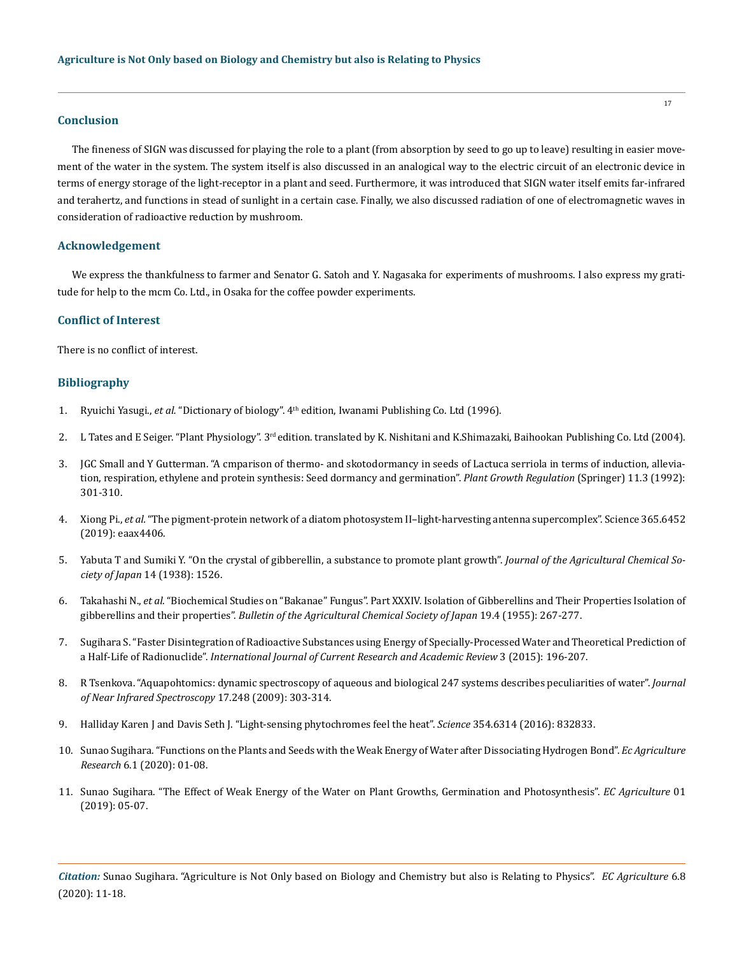#### **Conclusion**

The fineness of SIGN was discussed for playing the role to a plant (from absorption by seed to go up to leave) resulting in easier movement of the water in the system. The system itself is also discussed in an analogical way to the electric circuit of an electronic device in terms of energy storage of the light-receptor in a plant and seed. Furthermore, it was introduced that SIGN water itself emits far-infrared and terahertz, and functions in stead of sunlight in a certain case. Finally, we also discussed radiation of one of electromagnetic waves in consideration of radioactive reduction by mushroom.

# **Acknowledgement**

We express the thankfulness to farmer and Senator G. Satoh and Y. Nagasaka for experiments of mushrooms. I also express my gratitude for help to the mcm Co. Ltd., in Osaka for the coffee powder experiments.

### **Conflict of Interest**

There is no conflict of interest.

### **Bibliography**

- 1. Ryuichi Yasugi., *et al.* "Dictionary of biology". 4th edition, Iwanami Publishing Co. Ltd (1996).
- 2. L Tates and E Seiger. "Plant Physiology". 3<sup>rd</sup> edition. translated by K. Nishitani and K.Shimazaki, Baihookan Publishing Co. Ltd (2004).
- 3. [JGC Small and Y Gutterman. "A cmparison of thermo- and skotodormancy in seeds of Lactuca serriola in terms of induction, allevia](https://link.springer.com/article/10.1007/BF00024569)[tion, respiration, ethylene and protein synthesis: Seed dormancy and germination".](https://link.springer.com/article/10.1007/BF00024569) *Plant Growth Regulation* (Springer) 11.3 (1992): [301-310.](https://link.springer.com/article/10.1007/BF00024569)
- 4. Xiong Pi., *et al.* ["The pigment-protein network of a diatom photosystem II–light-harvesting antenna supercomplex". Science 365.6452](https://science.sciencemag.org/content/365/6452/eaax4406/tab-article-info)  [\(2019\): eaax4406.](https://science.sciencemag.org/content/365/6452/eaax4406/tab-article-info)
- 5. [Yabuta T and Sumiki Y. "On the crystal of gibberellin, a substance to promote plant growth".](https://www.semanticscholar.org/paper/On-the-crystal-of-gibberellin%2C-a-substance-to-plant-Yabuta/6fb62950b54a90c94a79a380abc8e35edffeb37c) *Journal of the Agricultural Chemical Society of Japan* [14 \(1938\): 1526.](https://www.semanticscholar.org/paper/On-the-crystal-of-gibberellin%2C-a-substance-to-plant-Yabuta/6fb62950b54a90c94a79a380abc8e35edffeb37c)
- 6. Takahashi N., *et al.* ["Biochemical Studies on "Bakanae" Fungus". Part XXXIV. Isolation of Gibberellins and Their Properties Isolation of](https://www.tandfonline.com/doi/abs/10.1080/03758397.1955.10856832)  gibberellins and their properties". *[Bulletin of the Agricultural Chemical Society of Japan](https://www.tandfonline.com/doi/abs/10.1080/03758397.1955.10856832)* 19.4 (1955): 267-277.
- 7. [Sugihara S. "Faster Disintegration of Radioactive Substances using Energy of Specially-Processed Water and Theoretical Prediction of](http://www.ijcrar.com/vol-3-8/Sunao%20Sugihara.pdf)  a Half-Life of Radionuclide". *[International Journal of Current Research and Academic Review](http://www.ijcrar.com/vol-3-8/Sunao%20Sugihara.pdf)* 3 (2015): 196-207.
- 8. [R Tsenkova. "Aquapohtomics: dynamic spectroscopy of aqueous and biological 247 systems describes peculiarities of water".](https://www.osapublishing.org/jnirs/abstract.cfm?uri=jnirs-17-6-303) *Journal [of Near Infrared Spectroscopy](https://www.osapublishing.org/jnirs/abstract.cfm?uri=jnirs-17-6-303)* 17.248 (2009): 303-314.
- 9. [Halliday Karen J and Davis Seth J. "Light-sensing phytochromes feel the heat".](https://science.sciencemag.org/content/354/6314/832) *Science* 354.6314 (2016): 832833.
- 10. [Sunao Sugihara. "Functions on the Plants and Seeds with the Weak Energy of Water after Dissociating Hydrogen Bond".](https://www.ecronicon.com/ecag/functions-on-the-plants-and-seeds-with-the-weak-energy-of-water-after-dissociating-hydrogen-bond.php) *Ec Agriculture Research* [6.1 \(2020\): 01-08.](https://www.ecronicon.com/ecag/functions-on-the-plants-and-seeds-with-the-weak-energy-of-water-after-dissociating-hydrogen-bond.php)
- 11. [Sunao Sugihara. "The Effect of Weak Energy of the Water on Plant Growths, Germination and Photosynthesis".](https://www.ecronicon.com/rco19/pdf/ECAG-01-RCO-03.pdf) *EC Agriculture* 01 [\(2019\): 05-07.](https://www.ecronicon.com/rco19/pdf/ECAG-01-RCO-03.pdf)